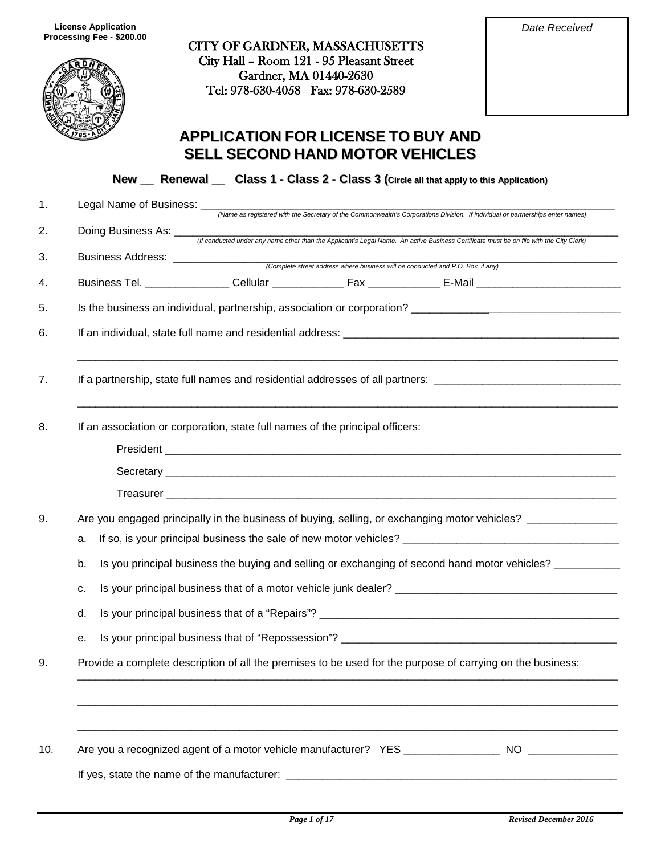

CITY OF GARDNER, MASSACHUSETTS City Hall – Room 121 - 95 Pleasant Street Gardner, MA 01440-2630 Tel: 978-630-4058 Fax: 978-630-2589

| Date Received |
|---------------|
|               |

# **APPLICATION FOR LICENSE TO BUY AND SELL SECOND HAND MOTOR VEHICLES**

**New \_\_ Renewal \_\_ Class 1 - Class 2 - Class 3 (Circle all that apply to this Application)**

| 1.  | Legal Name of Business: __<br>(Name as registered with the Secretary of the Commonwealth's Corporations Division. If individual or partnerships enter names)     |  |  |
|-----|------------------------------------------------------------------------------------------------------------------------------------------------------------------|--|--|
| 2.  | Doing Business As: ___<br>If conducted under any name other than the Applicant's Legal Name. An active Business Certificate must be on file with the City Clerk) |  |  |
| 3.  | Business Address: _______________                                                                                                                                |  |  |
| 4.  | (Complete street address where business will be conducted and P.O. Box, if any)                                                                                  |  |  |
| 5.  |                                                                                                                                                                  |  |  |
| 6.  |                                                                                                                                                                  |  |  |
| 7.  | If a partnership, state full names and residential addresses of all partners: ________________________________                                                   |  |  |
| 8.  | If an association or corporation, state full names of the principal officers:                                                                                    |  |  |
|     |                                                                                                                                                                  |  |  |
| 9.  | Are you engaged principally in the business of buying, selling, or exchanging motor vehicles? ____________                                                       |  |  |
|     | a.                                                                                                                                                               |  |  |
|     | Is you principal business the buying and selling or exchanging of second hand motor vehicles? _________<br>b.                                                    |  |  |
|     | c.                                                                                                                                                               |  |  |
|     | d.                                                                                                                                                               |  |  |
|     | е.                                                                                                                                                               |  |  |
| 9.  | Provide a complete description of all the premises to be used for the purpose of carrying on the business:                                                       |  |  |
|     |                                                                                                                                                                  |  |  |
| 10. |                                                                                                                                                                  |  |  |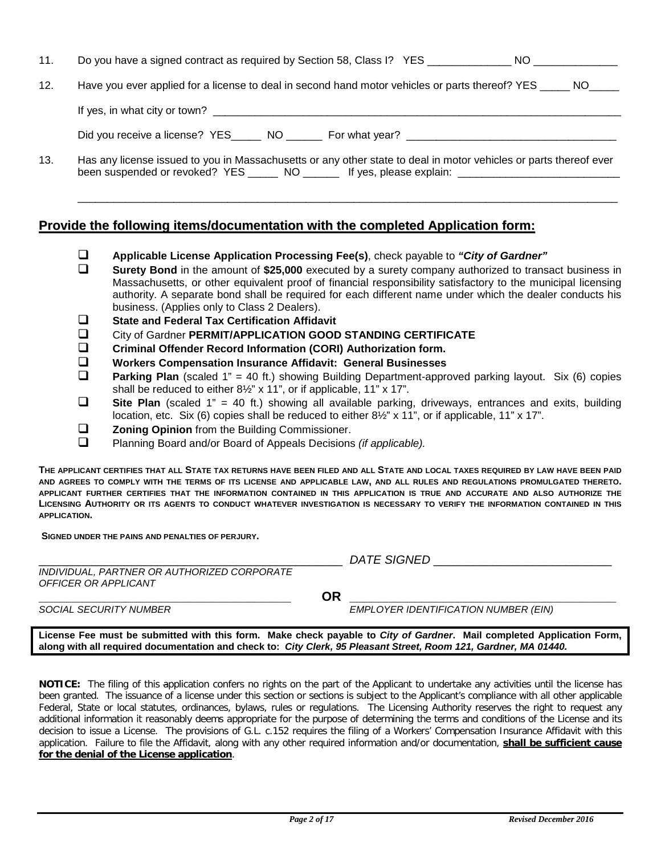| 11. |                                                                                                                                                                                                                           |  |  |  |
|-----|---------------------------------------------------------------------------------------------------------------------------------------------------------------------------------------------------------------------------|--|--|--|
| 12. | Have you ever applied for a license to deal in second hand motor vehicles or parts thereof? YES _____ NO_____                                                                                                             |  |  |  |
|     |                                                                                                                                                                                                                           |  |  |  |
|     | Did you receive a license? YES NO For what year?                                                                                                                                                                          |  |  |  |
| 13. | Has any license issued to you in Massachusetts or any other state to deal in motor vehicles or parts thereof ever<br>been suspended or revoked? YES ________ NO ________ If yes, please explain: ________________________ |  |  |  |

## **Provide the following items/documentation with the completed Application form:**

- **Applicable License Application Processing Fee(s)**, check payable to *"City of Gardner"*
- **Surety Bond** in the amount of **\$25,000** executed by a surety company authorized to transact business in Massachusetts, or other equivalent proof of financial responsibility satisfactory to the municipal licensing authority. A separate bond shall be required for each different name under which the dealer conducts his business. (Applies only to Class 2 Dealers).
- **State and Federal Tax Certification Affidavit**<br> **City of Gardner PERMIT/APPLICATION GOOD**
- □ City of Gardner **PERMIT/APPLICATION GOOD STANDING CERTIFICATE**<br>□ Criminal Offender Record Information (CORI) Authorization form.
- **Criminal Offender Record Information (CORI) Authorization form.**
- **Workers Compensation Insurance Affidavit: General Businesses**
- **Parking Plan** (scaled 1" = 40 ft.) showing Building Department-approved parking layout. Six (6) copies shall be reduced to either 8½" x 11", or if applicable, 11" x 17".
- Site Plan (scaled 1" = 40 ft.) showing all available parking, driveways, entrances and exits, building location, etc. Six (6) copies shall be reduced to either 8½" x 11", or if applicable, 11" x 17".
- **□ 20ning Opinion** from the Building Commissioner.<br>□ Planning Board and/or Board of Appeals Decisions
- Planning Board and/or Board of Appeals Decisions *(if applicable).*

**THE APPLICANT CERTIFIES THAT ALL STATE TAX RETURNS HAVE BEEN FILED AND ALL STATE AND LOCAL TAXES REQUIRED BY LAW HAVE BEEN PAID AND AGREES TO COMPLY WITH THE TERMS OF ITS LICENSE AND APPLICABLE LAW, AND ALL RULES AND REGULATIONS PROMULGATED THERETO. APPLICANT FURTHER CERTIFIES THAT THE INFORMATION CONTAINED IN THIS APPLICATION IS TRUE AND ACCURATE AND ALSO AUTHORIZE THE LICENSING AUTHORITY OR ITS AGENTS TO CONDUCT WHATEVER INVESTIGATION IS NECESSARY TO VERIFY THE INFORMATION CONTAINED IN THIS APPLICATION.**

**SIGNED UNDER THE PAINS AND PENALTIES OF PERJURY.**

|                                                                     | <i>DATE SIGNED</i>                                                                                                   |
|---------------------------------------------------------------------|----------------------------------------------------------------------------------------------------------------------|
| INDIVIDUAL, PARTNER OR AUTHORIZED CORPORATE<br>OFFICER OR APPLICANT |                                                                                                                      |
|                                                                     | OR                                                                                                                   |
| <b>SOCIAL SECURITY NUMBER</b>                                       | EMPLOYER IDENTIFICATION NUMBER (EIN)                                                                                 |
|                                                                     | License Fee must be submitted with this form. Make check payable to City of Gardner. Mail completed Application Form |

**License Fee must be submitted with this form. Make check payable to** *City of Gardner***. Mail completed Application Form, along with all required documentation and check to:** *City Clerk, 95 Pleasant Street, Room 121, Gardner, MA 01440.*

**NOTICE:** The filing of this application confers no rights on the part of the Applicant to undertake any activities until the license has been granted. The issuance of a license under this section or sections is subject to the Applicant's compliance with all other applicable Federal, State or local statutes, ordinances, bylaws, rules or regulations. The Licensing Authority reserves the right to request any additional information it reasonably deems appropriate for the purpose of determining the terms and conditions of the License and its decision to issue a License. The provisions of G.L. c.152 requires the filing of a Workers' Compensation Insurance Affidavit with this application. Failure to file the Affidavit, along with any other required information and/or documentation, **shall be sufficient cause for the denial of the License application**.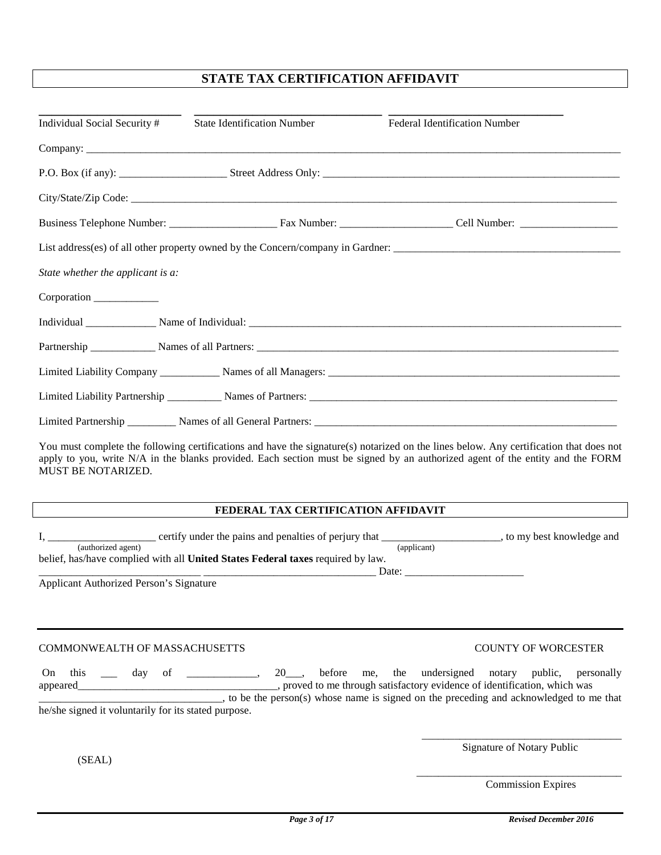## **STATE TAX CERTIFICATION AFFIDAVIT**

|                                   | <b>Federal Identification Number</b> |
|-----------------------------------|--------------------------------------|
|                                   |                                      |
|                                   |                                      |
|                                   |                                      |
|                                   |                                      |
|                                   |                                      |
|                                   |                                      |
|                                   |                                      |
|                                   |                                      |
|                                   |                                      |
|                                   |                                      |
|                                   |                                      |
|                                   |                                      |
| State whether the applicant is a: |                                      |

You must complete the following certifications and have the signature(s) notarized on the lines below. Any certification that does not apply to you, write N/A in the blanks provided. Each section must be signed by an authorized agent of the entity and the FORM MUST BE NOTARIZED.

### **FEDERAL TAX CERTIFICATION AFFIDAVIT**

| certify under the pains and penalties of perjury that                           | , to my best knowledge and |  |
|---------------------------------------------------------------------------------|----------------------------|--|
| (authorized agent)                                                              | (applicant)                |  |
| belief, has/have complied with all United States Federal taxes required by law. |                            |  |
|                                                                                 | Date:                      |  |

Applicant Authorized Person's Signature

COMMONWEALTH OF MASSACHUSETTS COUNTY OF WORCESTER

On this \_\_\_ day of \_\_\_\_\_\_\_\_\_\_, 20\_\_, before me, the undersigned notary public, personally appeared\_\_\_\_\_\_\_\_\_\_\_\_\_\_\_\_\_\_\_\_\_\_\_\_\_\_\_\_\_\_\_\_\_\_\_\_\_, proved to me through satisfactory evidence of identification, which was \_\_\_\_\_\_\_\_\_\_\_\_\_\_\_\_\_\_\_\_\_\_\_\_\_\_\_\_\_\_\_\_\_\_, to be the person(s) whose name is signed on the preceding and acknowledged to me that he/she signed it voluntarily for its stated purpose.

(SEAL)

\_\_\_\_\_\_\_\_\_\_\_\_\_\_\_\_\_\_\_\_\_\_\_\_\_\_\_\_\_\_\_\_\_\_\_\_\_ Signature of Notary Public

\_\_\_\_\_\_\_\_\_\_\_\_\_\_\_\_\_\_\_\_\_\_\_\_\_\_\_\_\_\_\_\_\_\_\_\_\_\_

Commission Expires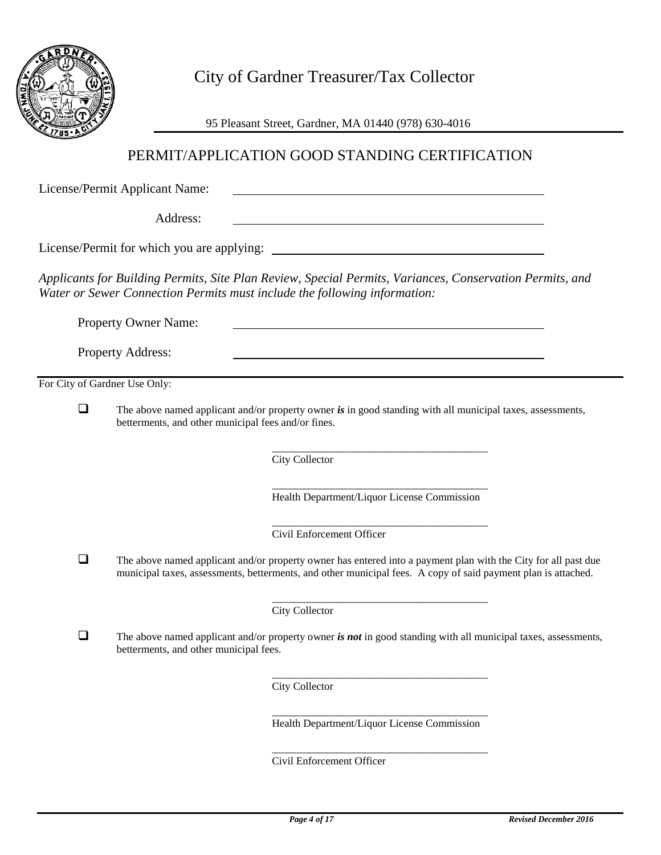

City of Gardner Treasurer/Tax Collector

95 Pleasant Street, Gardner, MA 01440 (978) 630-4016

# PERMIT/APPLICATION GOOD STANDING CERTIFICATION

License/Permit Applicant Name:

Address:

License/Permit for which you are applying:

*Applicants for Building Permits, Site Plan Review, Special Permits, Variances, Conservation Permits, and Water or Sewer Connection Permits must include the following information:*

Property Owner Name:

Property Address:

For City of Gardner Use Only:

 The above named applicant and/or property owner *is* in good standing with all municipal taxes, assessments, betterments, and other municipal fees and/or fines.

> \_\_\_\_\_\_\_\_\_\_\_\_\_\_\_\_\_\_\_\_\_\_\_\_\_\_\_\_\_\_\_\_\_\_\_\_\_\_\_\_ City Collector

> \_\_\_\_\_\_\_\_\_\_\_\_\_\_\_\_\_\_\_\_\_\_\_\_\_\_\_\_\_\_\_\_\_\_\_\_\_\_\_\_ Health Department/Liquor License Commission

<u> 1980 - Johann Barn, fransk politik (f. 1980)</u>

\_\_\_\_\_\_\_\_\_\_\_\_\_\_\_\_\_\_\_\_\_\_\_\_\_\_\_\_\_\_\_\_\_\_\_\_\_\_\_\_ Civil Enforcement Officer

 $\Box$  The above named applicant and/or property owner has entered into a payment plan with the City for all past due municipal taxes, assessments, betterments, and other municipal fees. A copy of said payment plan is attached.

> \_\_\_\_\_\_\_\_\_\_\_\_\_\_\_\_\_\_\_\_\_\_\_\_\_\_\_\_\_\_\_\_\_\_\_\_\_\_\_\_ City Collector

 $\Box$  The above named applicant and/or property owner *is not* in good standing with all municipal taxes, assessments, betterments, and other municipal fees.

> \_\_\_\_\_\_\_\_\_\_\_\_\_\_\_\_\_\_\_\_\_\_\_\_\_\_\_\_\_\_\_\_\_\_\_\_\_\_\_\_ City Collector

> \_\_\_\_\_\_\_\_\_\_\_\_\_\_\_\_\_\_\_\_\_\_\_\_\_\_\_\_\_\_\_\_\_\_\_\_\_\_\_\_ Health Department/Liquor License Commission

> \_\_\_\_\_\_\_\_\_\_\_\_\_\_\_\_\_\_\_\_\_\_\_\_\_\_\_\_\_\_\_\_\_\_\_\_\_\_\_\_ Civil Enforcement Officer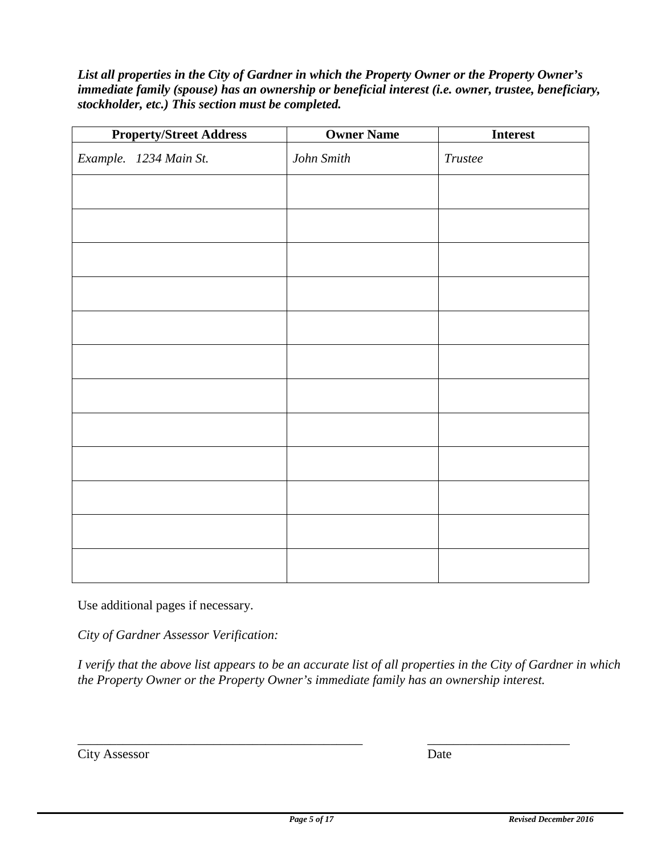*List all properties in the City of Gardner in which the Property Owner or the Property Owner's immediate family (spouse) has an ownership or beneficial interest (i.e. owner, trustee, beneficiary, stockholder, etc.) This section must be completed.* 

| <b>Property/Street Address</b> | <b>Owner Name</b> | <b>Interest</b> |
|--------------------------------|-------------------|-----------------|
| Example. 1234 Main St.         | John Smith        | Trustee         |
|                                |                   |                 |
|                                |                   |                 |
|                                |                   |                 |
|                                |                   |                 |
|                                |                   |                 |
|                                |                   |                 |
|                                |                   |                 |
|                                |                   |                 |
|                                |                   |                 |
|                                |                   |                 |
|                                |                   |                 |
|                                |                   |                 |

Use additional pages if necessary.

*City of Gardner Assessor Verification:*

*I verify that the above list appears to be an accurate list of all properties in the City of Gardner in which the Property Owner or the Property Owner's immediate family has an ownership interest.*

| <b>City Assessor</b> | Date |
|----------------------|------|
|                      |      |

\_\_\_\_\_\_\_\_\_\_\_\_\_\_\_\_\_\_\_\_\_\_\_\_\_\_\_\_\_\_\_\_\_\_\_\_\_\_\_\_\_\_\_\_ \_\_\_\_\_\_\_\_\_\_\_\_\_\_\_\_\_\_\_\_\_\_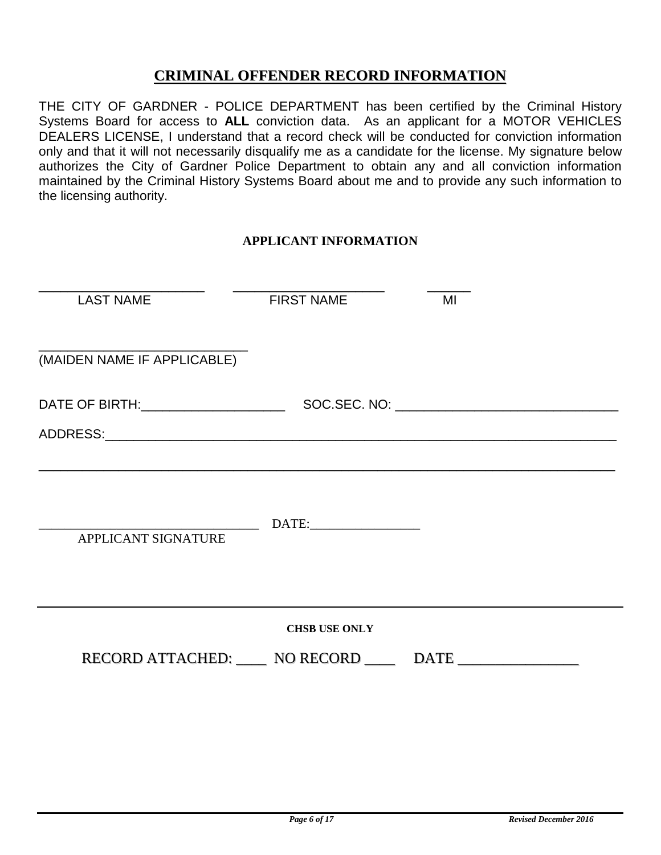# **CRIMINAL OFFENDER RECORD INFORMATION**

THE CITY OF GARDNER - POLICE DEPARTMENT has been certified by the Criminal History Systems Board for access to **ALL** conviction data. As an applicant for a MOTOR VEHICLES DEALERS LICENSE, I understand that a record check will be conducted for conviction information only and that it will not necessarily disqualify me as a candidate for the license. My signature below authorizes the City of Gardner Police Department to obtain any and all conviction information maintained by the Criminal History Systems Board about me and to provide any such information to the licensing authority.

## **APPLICANT INFORMATION**

| <b>LAST NAME</b>            | <b>FIRST NAME</b>    | MI                                                     |
|-----------------------------|----------------------|--------------------------------------------------------|
| (MAIDEN NAME IF APPLICABLE) |                      |                                                        |
|                             |                      |                                                        |
| APPLICANT SIGNATURE         |                      |                                                        |
|                             | <b>CHSB USE ONLY</b> | RECORD ATTACHED: NO RECORD _____ DATE ________________ |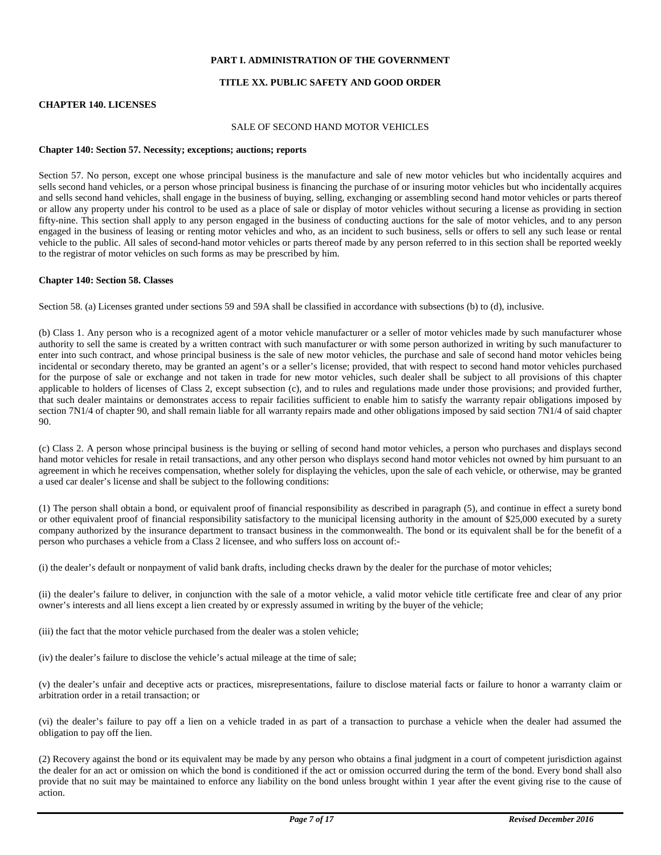#### **PART I. ADMINISTRATION OF THE GOVERNMENT**

#### **TITLE XX. PUBLIC SAFETY AND GOOD ORDER**

#### **CHAPTER 140. LICENSES**

#### SALE OF SECOND HAND MOTOR VEHICLES

#### **Chapter 140: Section 57. Necessity; exceptions; auctions; reports**

Section 57. No person, except one whose principal business is the manufacture and sale of new motor vehicles but who incidentally acquires and sells second hand vehicles, or a person whose principal business is financing the purchase of or insuring motor vehicles but who incidentally acquires and sells second hand vehicles, shall engage in the business of buying, selling, exchanging or assembling second hand motor vehicles or parts thereof or allow any property under his control to be used as a place of sale or display of motor vehicles without securing a license as providing in section fifty-nine. This section shall apply to any person engaged in the business of conducting auctions for the sale of motor vehicles, and to any person engaged in the business of leasing or renting motor vehicles and who, as an incident to such business, sells or offers to sell any such lease or rental vehicle to the public. All sales of second-hand motor vehicles or parts thereof made by any person referred to in this section shall be reported weekly to the registrar of motor vehicles on such forms as may be prescribed by him.

#### **Chapter 140: Section 58. Classes**

Section 58. (a) Licenses granted under sections 59 and 59A shall be classified in accordance with subsections (b) to (d), inclusive.

(b) Class 1. Any person who is a recognized agent of a motor vehicle manufacturer or a seller of motor vehicles made by such manufacturer whose authority to sell the same is created by a written contract with such manufacturer or with some person authorized in writing by such manufacturer to enter into such contract, and whose principal business is the sale of new motor vehicles, the purchase and sale of second hand motor vehicles being incidental or secondary thereto, may be granted an agent's or a seller's license; provided, that with respect to second hand motor vehicles purchased for the purpose of sale or exchange and not taken in trade for new motor vehicles, such dealer shall be subject to all provisions of this chapter applicable to holders of licenses of Class 2, except subsection (c), and to rules and regulations made under those provisions; and provided further, that such dealer maintains or demonstrates access to repair facilities sufficient to enable him to satisfy the warranty repair obligations imposed by section 7N1/4 of chapter 90, and shall remain liable for all warranty repairs made and other obligations imposed by said section 7N1/4 of said chapter 90.

(c) Class 2. A person whose principal business is the buying or selling of second hand motor vehicles, a person who purchases and displays second hand motor vehicles for resale in retail transactions, and any other person who displays second hand motor vehicles not owned by him pursuant to an agreement in which he receives compensation, whether solely for displaying the vehicles, upon the sale of each vehicle, or otherwise, may be granted a used car dealer's license and shall be subject to the following conditions:

(1) The person shall obtain a bond, or equivalent proof of financial responsibility as described in paragraph (5), and continue in effect a surety bond or other equivalent proof of financial responsibility satisfactory to the municipal licensing authority in the amount of \$25,000 executed by a surety company authorized by the insurance department to transact business in the commonwealth. The bond or its equivalent shall be for the benefit of a person who purchases a vehicle from a Class 2 licensee, and who suffers loss on account of:-

(i) the dealer's default or nonpayment of valid bank drafts, including checks drawn by the dealer for the purchase of motor vehicles;

(ii) the dealer's failure to deliver, in conjunction with the sale of a motor vehicle, a valid motor vehicle title certificate free and clear of any prior owner's interests and all liens except a lien created by or expressly assumed in writing by the buyer of the vehicle;

(iii) the fact that the motor vehicle purchased from the dealer was a stolen vehicle;

(iv) the dealer's failure to disclose the vehicle's actual mileage at the time of sale;

(v) the dealer's unfair and deceptive acts or practices, misrepresentations, failure to disclose material facts or failure to honor a warranty claim or arbitration order in a retail transaction; or

(vi) the dealer's failure to pay off a lien on a vehicle traded in as part of a transaction to purchase a vehicle when the dealer had assumed the obligation to pay off the lien.

(2) Recovery against the bond or its equivalent may be made by any person who obtains a final judgment in a court of competent jurisdiction against the dealer for an act or omission on which the bond is conditioned if the act or omission occurred during the term of the bond. Every bond shall also provide that no suit may be maintained to enforce any liability on the bond unless brought within 1 year after the event giving rise to the cause of action.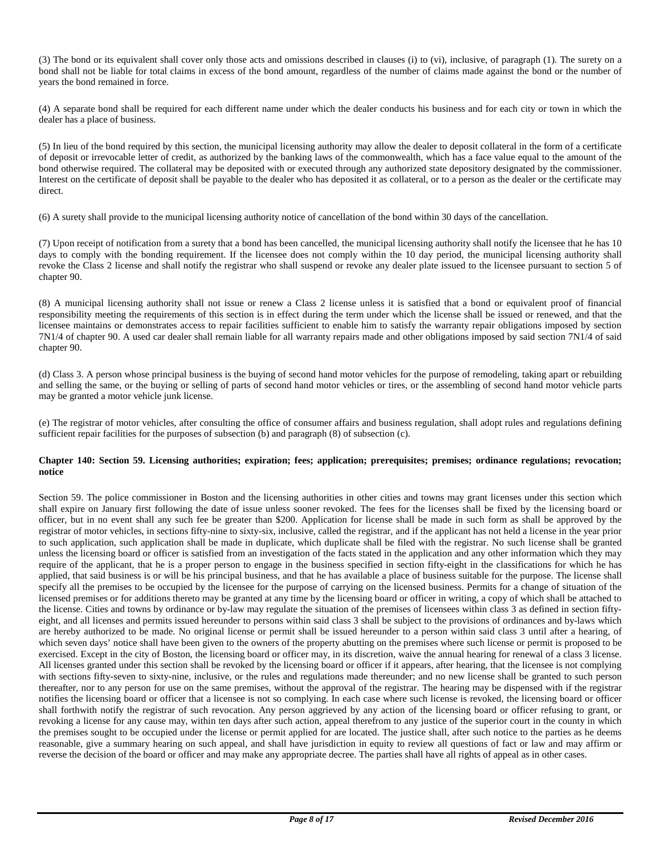(3) The bond or its equivalent shall cover only those acts and omissions described in clauses (i) to (vi), inclusive, of paragraph (1). The surety on a bond shall not be liable for total claims in excess of the bond amount, regardless of the number of claims made against the bond or the number of years the bond remained in force.

(4) A separate bond shall be required for each different name under which the dealer conducts his business and for each city or town in which the dealer has a place of business.

(5) In lieu of the bond required by this section, the municipal licensing authority may allow the dealer to deposit collateral in the form of a certificate of deposit or irrevocable letter of credit, as authorized by the banking laws of the commonwealth, which has a face value equal to the amount of the bond otherwise required. The collateral may be deposited with or executed through any authorized state depository designated by the commissioner. Interest on the certificate of deposit shall be payable to the dealer who has deposited it as collateral, or to a person as the dealer or the certificate may direct.

(6) A surety shall provide to the municipal licensing authority notice of cancellation of the bond within 30 days of the cancellation.

(7) Upon receipt of notification from a surety that a bond has been cancelled, the municipal licensing authority shall notify the licensee that he has 10 days to comply with the bonding requirement. If the licensee does not comply within the 10 day period, the municipal licensing authority shall revoke the Class 2 license and shall notify the registrar who shall suspend or revoke any dealer plate issued to the licensee pursuant to section 5 of chapter 90.

(8) A municipal licensing authority shall not issue or renew a Class 2 license unless it is satisfied that a bond or equivalent proof of financial responsibility meeting the requirements of this section is in effect during the term under which the license shall be issued or renewed, and that the licensee maintains or demonstrates access to repair facilities sufficient to enable him to satisfy the warranty repair obligations imposed by section 7N1/4 of chapter 90. A used car dealer shall remain liable for all warranty repairs made and other obligations imposed by said section 7N1/4 of said chapter 90.

(d) Class 3. A person whose principal business is the buying of second hand motor vehicles for the purpose of remodeling, taking apart or rebuilding and selling the same, or the buying or selling of parts of second hand motor vehicles or tires, or the assembling of second hand motor vehicle parts may be granted a motor vehicle junk license.

(e) The registrar of motor vehicles, after consulting the office of consumer affairs and business regulation, shall adopt rules and regulations defining sufficient repair facilities for the purposes of subsection (b) and paragraph (8) of subsection (c).

#### **Chapter 140: Section 59. Licensing authorities; expiration; fees; application; prerequisites; premises; ordinance regulations; revocation; notice**

Section 59. The police commissioner in Boston and the licensing authorities in other cities and towns may grant licenses under this section which shall expire on January first following the date of issue unless sooner revoked. The fees for the licenses shall be fixed by the licensing board or officer, but in no event shall any such fee be greater than \$200. Application for license shall be made in such form as shall be approved by the registrar of motor vehicles, in sections fifty-nine to sixty-six, inclusive, called the registrar, and if the applicant has not held a license in the year prior to such application, such application shall be made in duplicate, which duplicate shall be filed with the registrar. No such license shall be granted unless the licensing board or officer is satisfied from an investigation of the facts stated in the application and any other information which they may require of the applicant, that he is a proper person to engage in the business specified in section fifty-eight in the classifications for which he has applied, that said business is or will be his principal business, and that he has available a place of business suitable for the purpose. The license shall specify all the premises to be occupied by the licensee for the purpose of carrying on the licensed business. Permits for a change of situation of the licensed premises or for additions thereto may be granted at any time by the licensing board or officer in writing, a copy of which shall be attached to the license. Cities and towns by ordinance or by-law may regulate the situation of the premises of licensees within class 3 as defined in section fiftyeight, and all licenses and permits issued hereunder to persons within said class 3 shall be subject to the provisions of ordinances and by-laws which are hereby authorized to be made. No original license or permit shall be issued hereunder to a person within said class 3 until after a hearing, of which seven days' notice shall have been given to the owners of the property abutting on the premises where such license or permit is proposed to be exercised. Except in the city of Boston, the licensing board or officer may, in its discretion, waive the annual hearing for renewal of a class 3 license. All licenses granted under this section shall be revoked by the licensing board or officer if it appears, after hearing, that the licensee is not complying with sections fifty-seven to sixty-nine, inclusive, or the rules and regulations made thereunder; and no new license shall be granted to such person thereafter, nor to any person for use on the same premises, without the approval of the registrar. The hearing may be dispensed with if the registrar notifies the licensing board or officer that a licensee is not so complying. In each case where such license is revoked, the licensing board or officer shall forthwith notify the registrar of such revocation. Any person aggrieved by any action of the licensing board or officer refusing to grant, or revoking a license for any cause may, within ten days after such action, appeal therefrom to any justice of the superior court in the county in which the premises sought to be occupied under the license or permit applied for are located. The justice shall, after such notice to the parties as he deems reasonable, give a summary hearing on such appeal, and shall have jurisdiction in equity to review all questions of fact or law and may affirm or reverse the decision of the board or officer and may make any appropriate decree. The parties shall have all rights of appeal as in other cases.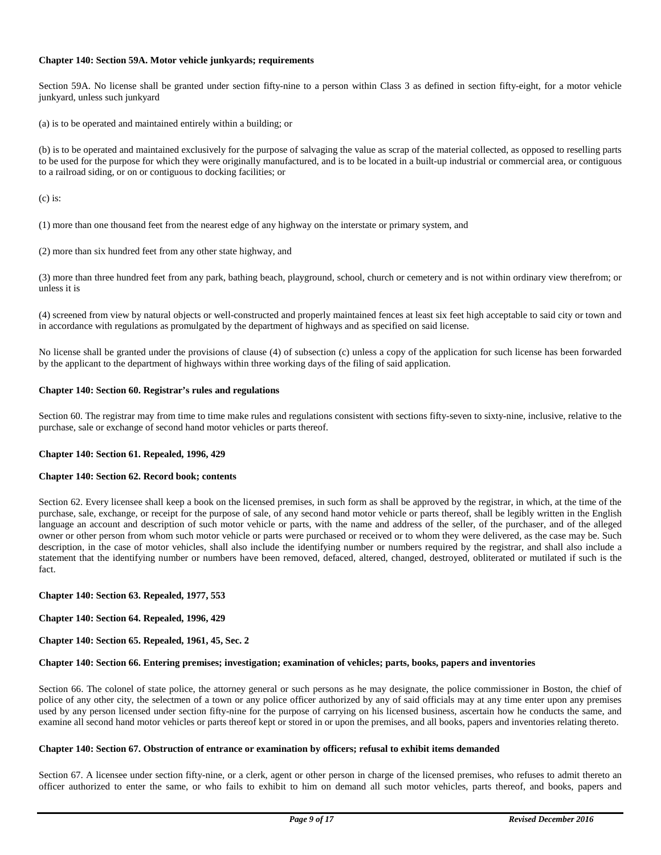#### **Chapter 140: Section 59A. Motor vehicle junkyards; requirements**

Section 59A. No license shall be granted under section fifty-nine to a person within Class 3 as defined in section fifty-eight, for a motor vehicle junkyard, unless such junkyard

(a) is to be operated and maintained entirely within a building; or

(b) is to be operated and maintained exclusively for the purpose of salvaging the value as scrap of the material collected, as opposed to reselling parts to be used for the purpose for which they were originally manufactured, and is to be located in a built-up industrial or commercial area, or contiguous to a railroad siding, or on or contiguous to docking facilities; or

 $(c)$  is:

(1) more than one thousand feet from the nearest edge of any highway on the interstate or primary system, and

(2) more than six hundred feet from any other state highway, and

(3) more than three hundred feet from any park, bathing beach, playground, school, church or cemetery and is not within ordinary view therefrom; or unless it is

(4) screened from view by natural objects or well-constructed and properly maintained fences at least six feet high acceptable to said city or town and in accordance with regulations as promulgated by the department of highways and as specified on said license.

No license shall be granted under the provisions of clause (4) of subsection (c) unless a copy of the application for such license has been forwarded by the applicant to the department of highways within three working days of the filing of said application.

#### **Chapter 140: Section 60. Registrar's rules and regulations**

Section 60. The registrar may from time to time make rules and regulations consistent with sections fifty-seven to sixty-nine, inclusive, relative to the purchase, sale or exchange of second hand motor vehicles or parts thereof.

#### **Chapter 140: Section 61. Repealed, 1996, 429**

#### **Chapter 140: Section 62. Record book; contents**

Section 62. Every licensee shall keep a book on the licensed premises, in such form as shall be approved by the registrar, in which, at the time of the purchase, sale, exchange, or receipt for the purpose of sale, of any second hand motor vehicle or parts thereof, shall be legibly written in the English language an account and description of such motor vehicle or parts, with the name and address of the seller, of the purchaser, and of the alleged owner or other person from whom such motor vehicle or parts were purchased or received or to whom they were delivered, as the case may be. Such description, in the case of motor vehicles, shall also include the identifying number or numbers required by the registrar, and shall also include a statement that the identifying number or numbers have been removed, defaced, altered, changed, destroyed, obliterated or mutilated if such is the fact.

#### **Chapter 140: Section 63. Repealed, 1977, 553**

**Chapter 140: Section 64. Repealed, 1996, 429** 

#### **Chapter 140: Section 65. Repealed, 1961, 45, Sec. 2**

#### **Chapter 140: Section 66. Entering premises; investigation; examination of vehicles; parts, books, papers and inventories**

Section 66. The colonel of state police, the attorney general or such persons as he may designate, the police commissioner in Boston, the chief of police of any other city, the selectmen of a town or any police officer authorized by any of said officials may at any time enter upon any premises used by any person licensed under section fifty-nine for the purpose of carrying on his licensed business, ascertain how he conducts the same, and examine all second hand motor vehicles or parts thereof kept or stored in or upon the premises, and all books, papers and inventories relating thereto.

#### **Chapter 140: Section 67. Obstruction of entrance or examination by officers; refusal to exhibit items demanded**

Section 67. A licensee under section fifty-nine, or a clerk, agent or other person in charge of the licensed premises, who refuses to admit thereto an officer authorized to enter the same, or who fails to exhibit to him on demand all such motor vehicles, parts thereof, and books, papers and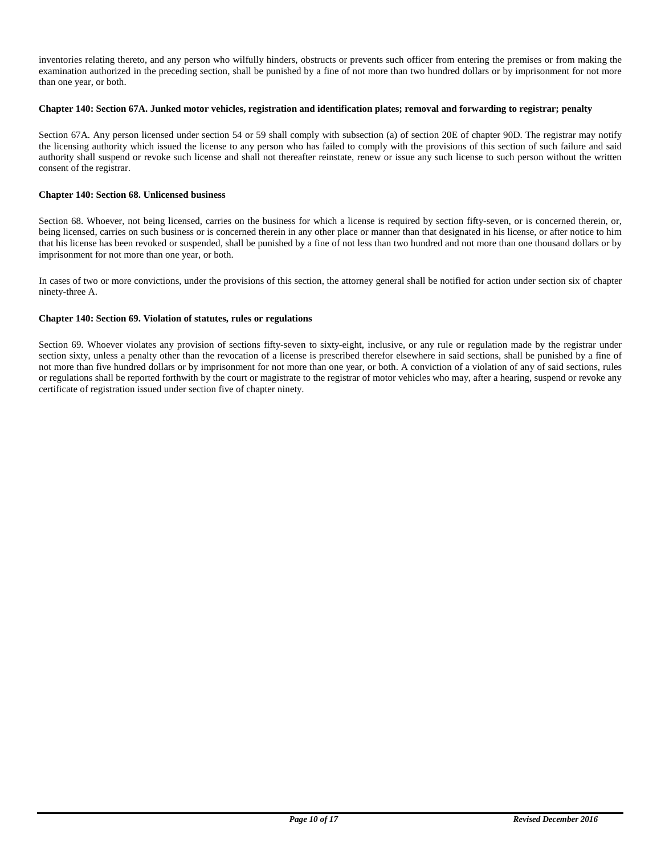inventories relating thereto, and any person who wilfully hinders, obstructs or prevents such officer from entering the premises or from making the examination authorized in the preceding section, shall be punished by a fine of not more than two hundred dollars or by imprisonment for not more than one year, or both.

#### **Chapter 140: Section 67A. Junked motor vehicles, registration and identification plates; removal and forwarding to registrar; penalty**

Section 67A. Any person licensed under section 54 or 59 shall comply with subsection (a) of section 20E of chapter 90D. The registrar may notify the licensing authority which issued the license to any person who has failed to comply with the provisions of this section of such failure and said authority shall suspend or revoke such license and shall not thereafter reinstate, renew or issue any such license to such person without the written consent of the registrar.

#### **Chapter 140: Section 68. Unlicensed business**

Section 68. Whoever, not being licensed, carries on the business for which a license is required by section fifty-seven, or is concerned therein, or, being licensed, carries on such business or is concerned therein in any other place or manner than that designated in his license, or after notice to him that his license has been revoked or suspended, shall be punished by a fine of not less than two hundred and not more than one thousand dollars or by imprisonment for not more than one year, or both.

In cases of two or more convictions, under the provisions of this section, the attorney general shall be notified for action under section six of chapter ninety-three A.

#### **Chapter 140: Section 69. Violation of statutes, rules or regulations**

Section 69. Whoever violates any provision of sections fifty-seven to sixty-eight, inclusive, or any rule or regulation made by the registrar under section sixty, unless a penalty other than the revocation of a license is prescribed therefor elsewhere in said sections, shall be punished by a fine of not more than five hundred dollars or by imprisonment for not more than one year, or both. A conviction of a violation of any of said sections, rules or regulations shall be reported forthwith by the court or magistrate to the registrar of motor vehicles who may, after a hearing, suspend or revoke any certificate of registration issued under section five of chapter ninety.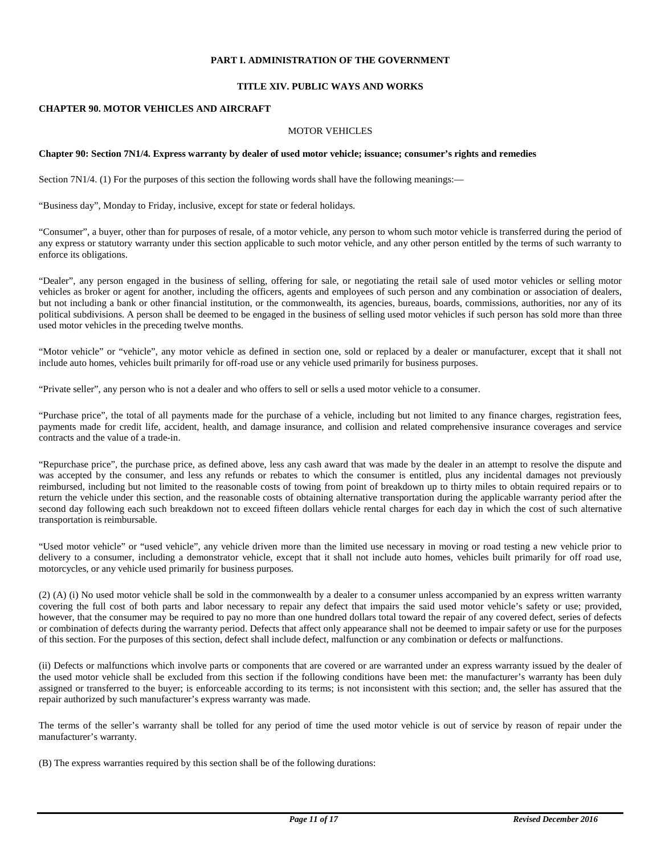#### **PART I. ADMINISTRATION OF THE GOVERNMENT**

#### **TITLE XIV. PUBLIC WAYS AND WORKS**

#### **CHAPTER 90. MOTOR VEHICLES AND AIRCRAFT**

#### MOTOR VEHICLES

#### **Chapter 90: Section 7N1/4. Express warranty by dealer of used motor vehicle; issuance; consumer's rights and remedies**

Section 7N1/4. (1) For the purposes of this section the following words shall have the following meanings:—

"Business day", Monday to Friday, inclusive, except for state or federal holidays.

"Consumer", a buyer, other than for purposes of resale, of a motor vehicle, any person to whom such motor vehicle is transferred during the period of any express or statutory warranty under this section applicable to such motor vehicle, and any other person entitled by the terms of such warranty to enforce its obligations.

"Dealer", any person engaged in the business of selling, offering for sale, or negotiating the retail sale of used motor vehicles or selling motor vehicles as broker or agent for another, including the officers, agents and employees of such person and any combination or association of dealers, but not including a bank or other financial institution, or the commonwealth, its agencies, bureaus, boards, commissions, authorities, nor any of its political subdivisions. A person shall be deemed to be engaged in the business of selling used motor vehicles if such person has sold more than three used motor vehicles in the preceding twelve months.

"Motor vehicle" or "vehicle", any motor vehicle as defined in section one, sold or replaced by a dealer or manufacturer, except that it shall not include auto homes, vehicles built primarily for off-road use or any vehicle used primarily for business purposes.

"Private seller", any person who is not a dealer and who offers to sell or sells a used motor vehicle to a consumer.

"Purchase price", the total of all payments made for the purchase of a vehicle, including but not limited to any finance charges, registration fees, payments made for credit life, accident, health, and damage insurance, and collision and related comprehensive insurance coverages and service contracts and the value of a trade-in.

"Repurchase price", the purchase price, as defined above, less any cash award that was made by the dealer in an attempt to resolve the dispute and was accepted by the consumer, and less any refunds or rebates to which the consumer is entitled, plus any incidental damages not previously reimbursed, including but not limited to the reasonable costs of towing from point of breakdown up to thirty miles to obtain required repairs or to return the vehicle under this section, and the reasonable costs of obtaining alternative transportation during the applicable warranty period after the second day following each such breakdown not to exceed fifteen dollars vehicle rental charges for each day in which the cost of such alternative transportation is reimbursable.

"Used motor vehicle" or "used vehicle", any vehicle driven more than the limited use necessary in moving or road testing a new vehicle prior to delivery to a consumer, including a demonstrator vehicle, except that it shall not include auto homes, vehicles built primarily for off road use, motorcycles, or any vehicle used primarily for business purposes.

(2) (A) (i) No used motor vehicle shall be sold in the commonwealth by a dealer to a consumer unless accompanied by an express written warranty covering the full cost of both parts and labor necessary to repair any defect that impairs the said used motor vehicle's safety or use; provided, however, that the consumer may be required to pay no more than one hundred dollars total toward the repair of any covered defect, series of defects or combination of defects during the warranty period. Defects that affect only appearance shall not be deemed to impair safety or use for the purposes of this section. For the purposes of this section, defect shall include defect, malfunction or any combination or defects or malfunctions.

(ii) Defects or malfunctions which involve parts or components that are covered or are warranted under an express warranty issued by the dealer of the used motor vehicle shall be excluded from this section if the following conditions have been met: the manufacturer's warranty has been duly assigned or transferred to the buyer; is enforceable according to its terms; is not inconsistent with this section; and, the seller has assured that the repair authorized by such manufacturer's express warranty was made.

The terms of the seller's warranty shall be tolled for any period of time the used motor vehicle is out of service by reason of repair under the manufacturer's warranty.

(B) The express warranties required by this section shall be of the following durations: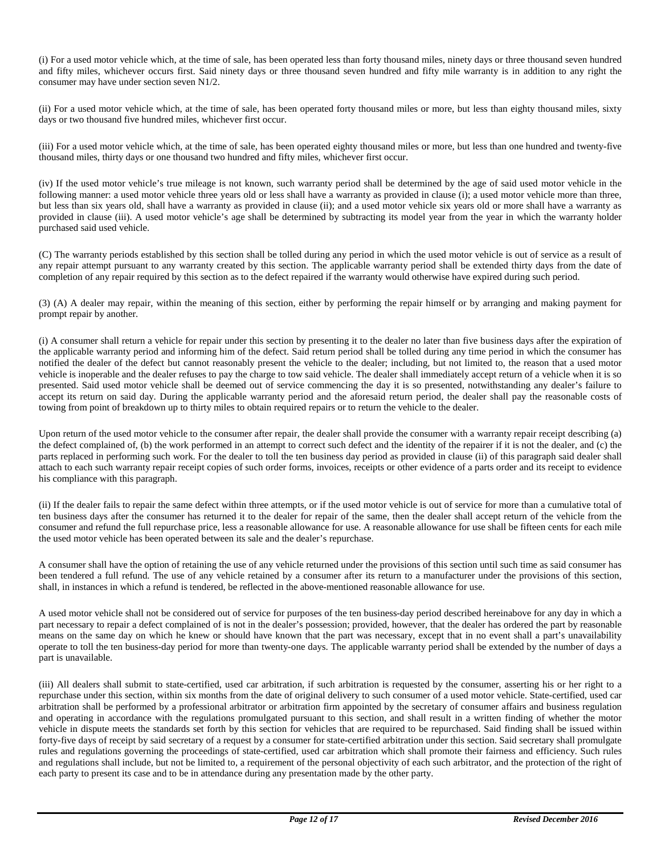(i) For a used motor vehicle which, at the time of sale, has been operated less than forty thousand miles, ninety days or three thousand seven hundred and fifty miles, whichever occurs first. Said ninety days or three thousand seven hundred and fifty mile warranty is in addition to any right the consumer may have under section seven N1/2.

(ii) For a used motor vehicle which, at the time of sale, has been operated forty thousand miles or more, but less than eighty thousand miles, sixty days or two thousand five hundred miles, whichever first occur.

(iii) For a used motor vehicle which, at the time of sale, has been operated eighty thousand miles or more, but less than one hundred and twenty-five thousand miles, thirty days or one thousand two hundred and fifty miles, whichever first occur.

(iv) If the used motor vehicle's true mileage is not known, such warranty period shall be determined by the age of said used motor vehicle in the following manner: a used motor vehicle three years old or less shall have a warranty as provided in clause (i); a used motor vehicle more than three, but less than six years old, shall have a warranty as provided in clause (ii); and a used motor vehicle six years old or more shall have a warranty as provided in clause (iii). A used motor vehicle's age shall be determined by subtracting its model year from the year in which the warranty holder purchased said used vehicle.

(C) The warranty periods established by this section shall be tolled during any period in which the used motor vehicle is out of service as a result of any repair attempt pursuant to any warranty created by this section. The applicable warranty period shall be extended thirty days from the date of completion of any repair required by this section as to the defect repaired if the warranty would otherwise have expired during such period.

(3) (A) A dealer may repair, within the meaning of this section, either by performing the repair himself or by arranging and making payment for prompt repair by another.

(i) A consumer shall return a vehicle for repair under this section by presenting it to the dealer no later than five business days after the expiration of the applicable warranty period and informing him of the defect. Said return period shall be tolled during any time period in which the consumer has notified the dealer of the defect but cannot reasonably present the vehicle to the dealer; including, but not limited to, the reason that a used motor vehicle is inoperable and the dealer refuses to pay the charge to tow said vehicle. The dealer shall immediately accept return of a vehicle when it is so presented. Said used motor vehicle shall be deemed out of service commencing the day it is so presented, notwithstanding any dealer's failure to accept its return on said day. During the applicable warranty period and the aforesaid return period, the dealer shall pay the reasonable costs of towing from point of breakdown up to thirty miles to obtain required repairs or to return the vehicle to the dealer.

Upon return of the used motor vehicle to the consumer after repair, the dealer shall provide the consumer with a warranty repair receipt describing (a) the defect complained of, (b) the work performed in an attempt to correct such defect and the identity of the repairer if it is not the dealer, and (c) the parts replaced in performing such work. For the dealer to toll the ten business day period as provided in clause (ii) of this paragraph said dealer shall attach to each such warranty repair receipt copies of such order forms, invoices, receipts or other evidence of a parts order and its receipt to evidence his compliance with this paragraph.

(ii) If the dealer fails to repair the same defect within three attempts, or if the used motor vehicle is out of service for more than a cumulative total of ten business days after the consumer has returned it to the dealer for repair of the same, then the dealer shall accept return of the vehicle from the consumer and refund the full repurchase price, less a reasonable allowance for use. A reasonable allowance for use shall be fifteen cents for each mile the used motor vehicle has been operated between its sale and the dealer's repurchase.

A consumer shall have the option of retaining the use of any vehicle returned under the provisions of this section until such time as said consumer has been tendered a full refund. The use of any vehicle retained by a consumer after its return to a manufacturer under the provisions of this section, shall, in instances in which a refund is tendered, be reflected in the above-mentioned reasonable allowance for use.

A used motor vehicle shall not be considered out of service for purposes of the ten business-day period described hereinabove for any day in which a part necessary to repair a defect complained of is not in the dealer's possession; provided, however, that the dealer has ordered the part by reasonable means on the same day on which he knew or should have known that the part was necessary, except that in no event shall a part's unavailability operate to toll the ten business-day period for more than twenty-one days. The applicable warranty period shall be extended by the number of days a part is unavailable.

(iii) All dealers shall submit to state-certified, used car arbitration, if such arbitration is requested by the consumer, asserting his or her right to a repurchase under this section, within six months from the date of original delivery to such consumer of a used motor vehicle. State-certified, used car arbitration shall be performed by a professional arbitrator or arbitration firm appointed by the secretary of consumer affairs and business regulation and operating in accordance with the regulations promulgated pursuant to this section, and shall result in a written finding of whether the motor vehicle in dispute meets the standards set forth by this section for vehicles that are required to be repurchased. Said finding shall be issued within forty-five days of receipt by said secretary of a request by a consumer for state-certified arbitration under this section. Said secretary shall promulgate rules and regulations governing the proceedings of state-certified, used car arbitration which shall promote their fairness and efficiency. Such rules and regulations shall include, but not be limited to, a requirement of the personal objectivity of each such arbitrator, and the protection of the right of each party to present its case and to be in attendance during any presentation made by the other party.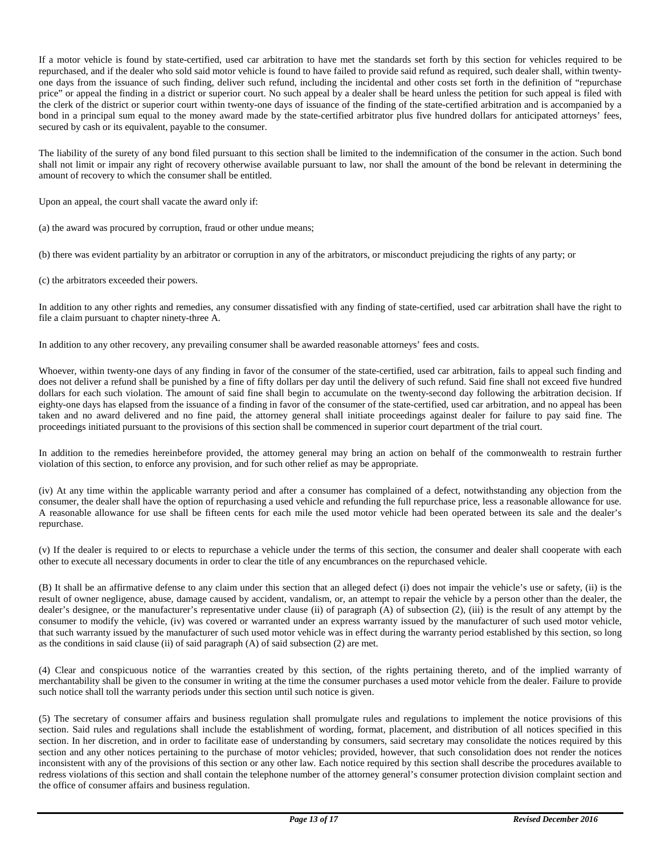If a motor vehicle is found by state-certified, used car arbitration to have met the standards set forth by this section for vehicles required to be repurchased, and if the dealer who sold said motor vehicle is found to have failed to provide said refund as required, such dealer shall, within twentyone days from the issuance of such finding, deliver such refund, including the incidental and other costs set forth in the definition of "repurchase price" or appeal the finding in a district or superior court. No such appeal by a dealer shall be heard unless the petition for such appeal is filed with the clerk of the district or superior court within twenty-one days of issuance of the finding of the state-certified arbitration and is accompanied by a bond in a principal sum equal to the money award made by the state-certified arbitrator plus five hundred dollars for anticipated attorneys' fees, secured by cash or its equivalent, payable to the consumer.

The liability of the surety of any bond filed pursuant to this section shall be limited to the indemnification of the consumer in the action. Such bond shall not limit or impair any right of recovery otherwise available pursuant to law, nor shall the amount of the bond be relevant in determining the amount of recovery to which the consumer shall be entitled.

Upon an appeal, the court shall vacate the award only if:

(a) the award was procured by corruption, fraud or other undue means;

(b) there was evident partiality by an arbitrator or corruption in any of the arbitrators, or misconduct prejudicing the rights of any party; or

(c) the arbitrators exceeded their powers.

In addition to any other rights and remedies, any consumer dissatisfied with any finding of state-certified, used car arbitration shall have the right to file a claim pursuant to chapter ninety-three A.

In addition to any other recovery, any prevailing consumer shall be awarded reasonable attorneys' fees and costs.

Whoever, within twenty-one days of any finding in favor of the consumer of the state-certified, used car arbitration, fails to appeal such finding and does not deliver a refund shall be punished by a fine of fifty dollars per day until the delivery of such refund. Said fine shall not exceed five hundred dollars for each such violation. The amount of said fine shall begin to accumulate on the twenty-second day following the arbitration decision. If eighty-one days has elapsed from the issuance of a finding in favor of the consumer of the state-certified, used car arbitration, and no appeal has been taken and no award delivered and no fine paid, the attorney general shall initiate proceedings against dealer for failure to pay said fine. The proceedings initiated pursuant to the provisions of this section shall be commenced in superior court department of the trial court.

In addition to the remedies hereinbefore provided, the attorney general may bring an action on behalf of the commonwealth to restrain further violation of this section, to enforce any provision, and for such other relief as may be appropriate.

(iv) At any time within the applicable warranty period and after a consumer has complained of a defect, notwithstanding any objection from the consumer, the dealer shall have the option of repurchasing a used vehicle and refunding the full repurchase price, less a reasonable allowance for use. A reasonable allowance for use shall be fifteen cents for each mile the used motor vehicle had been operated between its sale and the dealer's repurchase.

(v) If the dealer is required to or elects to repurchase a vehicle under the terms of this section, the consumer and dealer shall cooperate with each other to execute all necessary documents in order to clear the title of any encumbrances on the repurchased vehicle.

(B) It shall be an affirmative defense to any claim under this section that an alleged defect (i) does not impair the vehicle's use or safety, (ii) is the result of owner negligence, abuse, damage caused by accident, vandalism, or, an attempt to repair the vehicle by a person other than the dealer, the dealer's designee, or the manufacturer's representative under clause (ii) of paragraph (A) of subsection (2), (iii) is the result of any attempt by the consumer to modify the vehicle, (iv) was covered or warranted under an express warranty issued by the manufacturer of such used motor vehicle, that such warranty issued by the manufacturer of such used motor vehicle was in effect during the warranty period established by this section, so long as the conditions in said clause (ii) of said paragraph (A) of said subsection (2) are met.

(4) Clear and conspicuous notice of the warranties created by this section, of the rights pertaining thereto, and of the implied warranty of merchantability shall be given to the consumer in writing at the time the consumer purchases a used motor vehicle from the dealer. Failure to provide such notice shall toll the warranty periods under this section until such notice is given.

(5) The secretary of consumer affairs and business regulation shall promulgate rules and regulations to implement the notice provisions of this section. Said rules and regulations shall include the establishment of wording, format, placement, and distribution of all notices specified in this section. In her discretion, and in order to facilitate ease of understanding by consumers, said secretary may consolidate the notices required by this section and any other notices pertaining to the purchase of motor vehicles; provided, however, that such consolidation does not render the notices inconsistent with any of the provisions of this section or any other law. Each notice required by this section shall describe the procedures available to redress violations of this section and shall contain the telephone number of the attorney general's consumer protection division complaint section and the office of consumer affairs and business regulation.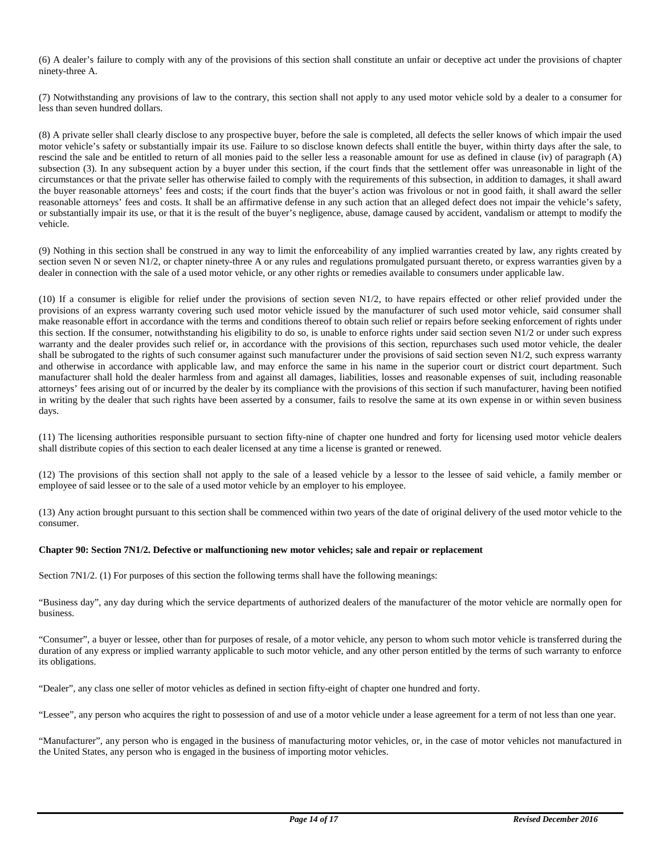(6) A dealer's failure to comply with any of the provisions of this section shall constitute an unfair or deceptive act under the provisions of chapter ninety-three A.

(7) Notwithstanding any provisions of law to the contrary, this section shall not apply to any used motor vehicle sold by a dealer to a consumer for less than seven hundred dollars.

(8) A private seller shall clearly disclose to any prospective buyer, before the sale is completed, all defects the seller knows of which impair the used motor vehicle's safety or substantially impair its use. Failure to so disclose known defects shall entitle the buyer, within thirty days after the sale, to rescind the sale and be entitled to return of all monies paid to the seller less a reasonable amount for use as defined in clause (iv) of paragraph (A) subsection (3). In any subsequent action by a buyer under this section, if the court finds that the settlement offer was unreasonable in light of the circumstances or that the private seller has otherwise failed to comply with the requirements of this subsection, in addition to damages, it shall award the buyer reasonable attorneys' fees and costs; if the court finds that the buyer's action was frivolous or not in good faith, it shall award the seller reasonable attorneys' fees and costs. It shall be an affirmative defense in any such action that an alleged defect does not impair the vehicle's safety, or substantially impair its use, or that it is the result of the buyer's negligence, abuse, damage caused by accident, vandalism or attempt to modify the vehicle.

(9) Nothing in this section shall be construed in any way to limit the enforceability of any implied warranties created by law, any rights created by section seven N or seven N1/2, or chapter ninety-three A or any rules and regulations promulgated pursuant thereto, or express warranties given by a dealer in connection with the sale of a used motor vehicle, or any other rights or remedies available to consumers under applicable law.

(10) If a consumer is eligible for relief under the provisions of section seven N1/2, to have repairs effected or other relief provided under the provisions of an express warranty covering such used motor vehicle issued by the manufacturer of such used motor vehicle, said consumer shall make reasonable effort in accordance with the terms and conditions thereof to obtain such relief or repairs before seeking enforcement of rights under this section. If the consumer, notwithstanding his eligibility to do so, is unable to enforce rights under said section seven N1/2 or under such express warranty and the dealer provides such relief or, in accordance with the provisions of this section, repurchases such used motor vehicle, the dealer shall be subrogated to the rights of such consumer against such manufacturer under the provisions of said section seven N1/2, such express warranty and otherwise in accordance with applicable law, and may enforce the same in his name in the superior court or district court department. Such manufacturer shall hold the dealer harmless from and against all damages, liabilities, losses and reasonable expenses of suit, including reasonable attorneys' fees arising out of or incurred by the dealer by its compliance with the provisions of this section if such manufacturer, having been notified in writing by the dealer that such rights have been asserted by a consumer, fails to resolve the same at its own expense in or within seven business days.

(11) The licensing authorities responsible pursuant to section fifty-nine of chapter one hundred and forty for licensing used motor vehicle dealers shall distribute copies of this section to each dealer licensed at any time a license is granted or renewed.

(12) The provisions of this section shall not apply to the sale of a leased vehicle by a lessor to the lessee of said vehicle, a family member or employee of said lessee or to the sale of a used motor vehicle by an employer to his employee.

(13) Any action brought pursuant to this section shall be commenced within two years of the date of original delivery of the used motor vehicle to the consumer.

#### **Chapter 90: Section 7N1/2. Defective or malfunctioning new motor vehicles; sale and repair or replacement**

Section 7N1/2. (1) For purposes of this section the following terms shall have the following meanings:

"Business day", any day during which the service departments of authorized dealers of the manufacturer of the motor vehicle are normally open for business.

"Consumer", a buyer or lessee, other than for purposes of resale, of a motor vehicle, any person to whom such motor vehicle is transferred during the duration of any express or implied warranty applicable to such motor vehicle, and any other person entitled by the terms of such warranty to enforce its obligations.

"Dealer", any class one seller of motor vehicles as defined in section fifty-eight of chapter one hundred and forty.

"Lessee", any person who acquires the right to possession of and use of a motor vehicle under a lease agreement for a term of not less than one year.

"Manufacturer", any person who is engaged in the business of manufacturing motor vehicles, or, in the case of motor vehicles not manufactured in the United States, any person who is engaged in the business of importing motor vehicles.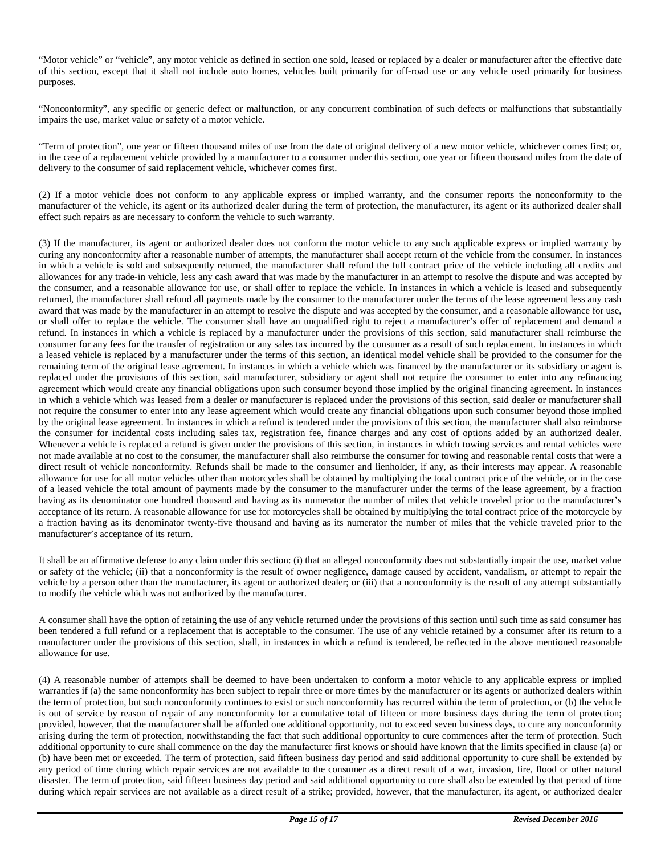"Motor vehicle" or "vehicle", any motor vehicle as defined in section one sold, leased or replaced by a dealer or manufacturer after the effective date of this section, except that it shall not include auto homes, vehicles built primarily for off-road use or any vehicle used primarily for business purposes.

"Nonconformity", any specific or generic defect or malfunction, or any concurrent combination of such defects or malfunctions that substantially impairs the use, market value or safety of a motor vehicle.

"Term of protection", one year or fifteen thousand miles of use from the date of original delivery of a new motor vehicle, whichever comes first; or, in the case of a replacement vehicle provided by a manufacturer to a consumer under this section, one year or fifteen thousand miles from the date of delivery to the consumer of said replacement vehicle, whichever comes first.

(2) If a motor vehicle does not conform to any applicable express or implied warranty, and the consumer reports the nonconformity to the manufacturer of the vehicle, its agent or its authorized dealer during the term of protection, the manufacturer, its agent or its authorized dealer shall effect such repairs as are necessary to conform the vehicle to such warranty.

(3) If the manufacturer, its agent or authorized dealer does not conform the motor vehicle to any such applicable express or implied warranty by curing any nonconformity after a reasonable number of attempts, the manufacturer shall accept return of the vehicle from the consumer. In instances in which a vehicle is sold and subsequently returned, the manufacturer shall refund the full contract price of the vehicle including all credits and allowances for any trade-in vehicle, less any cash award that was made by the manufacturer in an attempt to resolve the dispute and was accepted by the consumer, and a reasonable allowance for use, or shall offer to replace the vehicle. In instances in which a vehicle is leased and subsequently returned, the manufacturer shall refund all payments made by the consumer to the manufacturer under the terms of the lease agreement less any cash award that was made by the manufacturer in an attempt to resolve the dispute and was accepted by the consumer, and a reasonable allowance for use, or shall offer to replace the vehicle. The consumer shall have an unqualified right to reject a manufacturer's offer of replacement and demand a refund. In instances in which a vehicle is replaced by a manufacturer under the provisions of this section, said manufacturer shall reimburse the consumer for any fees for the transfer of registration or any sales tax incurred by the consumer as a result of such replacement. In instances in which a leased vehicle is replaced by a manufacturer under the terms of this section, an identical model vehicle shall be provided to the consumer for the remaining term of the original lease agreement. In instances in which a vehicle which was financed by the manufacturer or its subsidiary or agent is replaced under the provisions of this section, said manufacturer, subsidiary or agent shall not require the consumer to enter into any refinancing agreement which would create any financial obligations upon such consumer beyond those implied by the original financing agreement. In instances in which a vehicle which was leased from a dealer or manufacturer is replaced under the provisions of this section, said dealer or manufacturer shall not require the consumer to enter into any lease agreement which would create any financial obligations upon such consumer beyond those implied by the original lease agreement. In instances in which a refund is tendered under the provisions of this section, the manufacturer shall also reimburse the consumer for incidental costs including sales tax, registration fee, finance charges and any cost of options added by an authorized dealer. Whenever a vehicle is replaced a refund is given under the provisions of this section, in instances in which towing services and rental vehicles were not made available at no cost to the consumer, the manufacturer shall also reimburse the consumer for towing and reasonable rental costs that were a direct result of vehicle nonconformity. Refunds shall be made to the consumer and lienholder, if any, as their interests may appear. A reasonable allowance for use for all motor vehicles other than motorcycles shall be obtained by multiplying the total contract price of the vehicle, or in the case of a leased vehicle the total amount of payments made by the consumer to the manufacturer under the terms of the lease agreement, by a fraction having as its denominator one hundred thousand and having as its numerator the number of miles that vehicle traveled prior to the manufacturer's acceptance of its return. A reasonable allowance for use for motorcycles shall be obtained by multiplying the total contract price of the motorcycle by a fraction having as its denominator twenty-five thousand and having as its numerator the number of miles that the vehicle traveled prior to the manufacturer's acceptance of its return.

It shall be an affirmative defense to any claim under this section: (i) that an alleged nonconformity does not substantially impair the use, market value or safety of the vehicle; (ii) that a nonconformity is the result of owner negligence, damage caused by accident, vandalism, or attempt to repair the vehicle by a person other than the manufacturer, its agent or authorized dealer; or (iii) that a nonconformity is the result of any attempt substantially to modify the vehicle which was not authorized by the manufacturer.

A consumer shall have the option of retaining the use of any vehicle returned under the provisions of this section until such time as said consumer has been tendered a full refund or a replacement that is acceptable to the consumer. The use of any vehicle retained by a consumer after its return to a manufacturer under the provisions of this section, shall, in instances in which a refund is tendered, be reflected in the above mentioned reasonable allowance for use.

(4) A reasonable number of attempts shall be deemed to have been undertaken to conform a motor vehicle to any applicable express or implied warranties if (a) the same nonconformity has been subject to repair three or more times by the manufacturer or its agents or authorized dealers within the term of protection, but such nonconformity continues to exist or such nonconformity has recurred within the term of protection, or (b) the vehicle is out of service by reason of repair of any nonconformity for a cumulative total of fifteen or more business days during the term of protection; provided, however, that the manufacturer shall be afforded one additional opportunity, not to exceed seven business days, to cure any nonconformity arising during the term of protection, notwithstanding the fact that such additional opportunity to cure commences after the term of protection. Such additional opportunity to cure shall commence on the day the manufacturer first knows or should have known that the limits specified in clause (a) or (b) have been met or exceeded. The term of protection, said fifteen business day period and said additional opportunity to cure shall be extended by any period of time during which repair services are not available to the consumer as a direct result of a war, invasion, fire, flood or other natural disaster. The term of protection, said fifteen business day period and said additional opportunity to cure shall also be extended by that period of time during which repair services are not available as a direct result of a strike; provided, however, that the manufacturer, its agent, or authorized dealer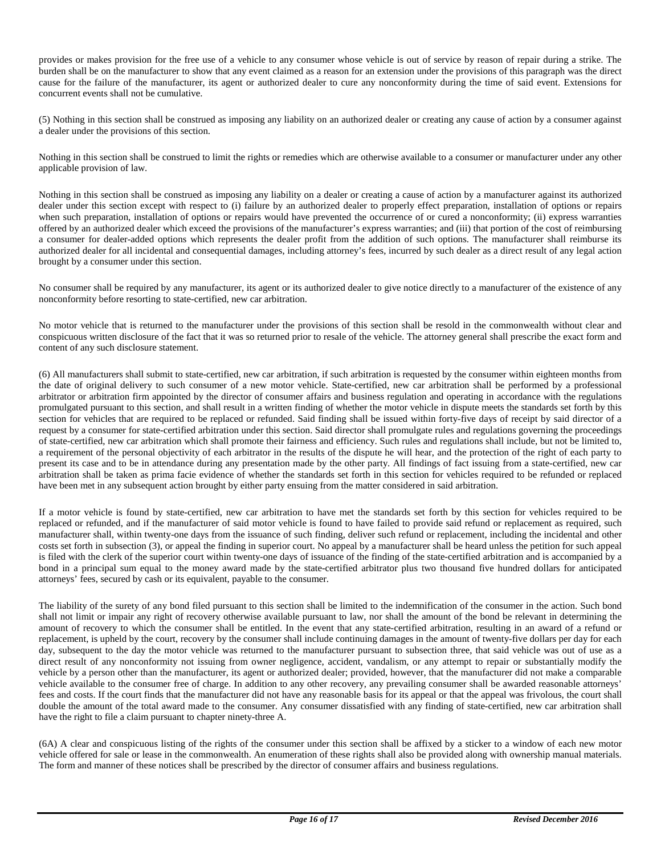provides or makes provision for the free use of a vehicle to any consumer whose vehicle is out of service by reason of repair during a strike. The burden shall be on the manufacturer to show that any event claimed as a reason for an extension under the provisions of this paragraph was the direct cause for the failure of the manufacturer, its agent or authorized dealer to cure any nonconformity during the time of said event. Extensions for concurrent events shall not be cumulative.

(5) Nothing in this section shall be construed as imposing any liability on an authorized dealer or creating any cause of action by a consumer against a dealer under the provisions of this section.

Nothing in this section shall be construed to limit the rights or remedies which are otherwise available to a consumer or manufacturer under any other applicable provision of law.

Nothing in this section shall be construed as imposing any liability on a dealer or creating a cause of action by a manufacturer against its authorized dealer under this section except with respect to (i) failure by an authorized dealer to properly effect preparation, installation of options or repairs when such preparation, installation of options or repairs would have prevented the occurrence of or cured a nonconformity; (ii) express warranties offered by an authorized dealer which exceed the provisions of the manufacturer's express warranties; and (iii) that portion of the cost of reimbursing a consumer for dealer-added options which represents the dealer profit from the addition of such options. The manufacturer shall reimburse its authorized dealer for all incidental and consequential damages, including attorney's fees, incurred by such dealer as a direct result of any legal action brought by a consumer under this section.

No consumer shall be required by any manufacturer, its agent or its authorized dealer to give notice directly to a manufacturer of the existence of any nonconformity before resorting to state-certified, new car arbitration.

No motor vehicle that is returned to the manufacturer under the provisions of this section shall be resold in the commonwealth without clear and conspicuous written disclosure of the fact that it was so returned prior to resale of the vehicle. The attorney general shall prescribe the exact form and content of any such disclosure statement.

(6) All manufacturers shall submit to state-certified, new car arbitration, if such arbitration is requested by the consumer within eighteen months from the date of original delivery to such consumer of a new motor vehicle. State-certified, new car arbitration shall be performed by a professional arbitrator or arbitration firm appointed by the director of consumer affairs and business regulation and operating in accordance with the regulations promulgated pursuant to this section, and shall result in a written finding of whether the motor vehicle in dispute meets the standards set forth by this section for vehicles that are required to be replaced or refunded. Said finding shall be issued within forty-five days of receipt by said director of a request by a consumer for state-certified arbitration under this section. Said director shall promulgate rules and regulations governing the proceedings of state-certified, new car arbitration which shall promote their fairness and efficiency. Such rules and regulations shall include, but not be limited to, a requirement of the personal objectivity of each arbitrator in the results of the dispute he will hear, and the protection of the right of each party to present its case and to be in attendance during any presentation made by the other party. All findings of fact issuing from a state-certified, new car arbitration shall be taken as prima facie evidence of whether the standards set forth in this section for vehicles required to be refunded or replaced have been met in any subsequent action brought by either party ensuing from the matter considered in said arbitration.

If a motor vehicle is found by state-certified, new car arbitration to have met the standards set forth by this section for vehicles required to be replaced or refunded, and if the manufacturer of said motor vehicle is found to have failed to provide said refund or replacement as required, such manufacturer shall, within twenty-one days from the issuance of such finding, deliver such refund or replacement, including the incidental and other costs set forth in subsection (3), or appeal the finding in superior court. No appeal by a manufacturer shall be heard unless the petition for such appeal is filed with the clerk of the superior court within twenty-one days of issuance of the finding of the state-certified arbitration and is accompanied by a bond in a principal sum equal to the money award made by the state-certified arbitrator plus two thousand five hundred dollars for anticipated attorneys' fees, secured by cash or its equivalent, payable to the consumer.

The liability of the surety of any bond filed pursuant to this section shall be limited to the indemnification of the consumer in the action. Such bond shall not limit or impair any right of recovery otherwise available pursuant to law, nor shall the amount of the bond be relevant in determining the amount of recovery to which the consumer shall be entitled. In the event that any state-certified arbitration, resulting in an award of a refund or replacement, is upheld by the court, recovery by the consumer shall include continuing damages in the amount of twenty-five dollars per day for each day, subsequent to the day the motor vehicle was returned to the manufacturer pursuant to subsection three, that said vehicle was out of use as a direct result of any nonconformity not issuing from owner negligence, accident, vandalism, or any attempt to repair or substantially modify the vehicle by a person other than the manufacturer, its agent or authorized dealer; provided, however, that the manufacturer did not make a comparable vehicle available to the consumer free of charge. In addition to any other recovery, any prevailing consumer shall be awarded reasonable attorneys' fees and costs. If the court finds that the manufacturer did not have any reasonable basis for its appeal or that the appeal was frivolous, the court shall double the amount of the total award made to the consumer. Any consumer dissatisfied with any finding of state-certified, new car arbitration shall have the right to file a claim pursuant to chapter ninety-three A.

(6A) A clear and conspicuous listing of the rights of the consumer under this section shall be affixed by a sticker to a window of each new motor vehicle offered for sale or lease in the commonwealth. An enumeration of these rights shall also be provided along with ownership manual materials. The form and manner of these notices shall be prescribed by the director of consumer affairs and business regulations.